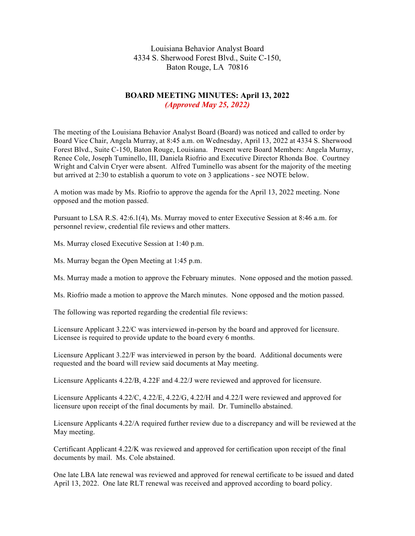Louisiana Behavior Analyst Board 4334 S. Sherwood Forest Blvd., Suite C-150, Baton Rouge, LA 70816

# **BOARD MEETING MINUTES: April 13, 2022** *(Approved May 25, 2022)*

The meeting of the Louisiana Behavior Analyst Board (Board) was noticed and called to order by Board Vice Chair, Angela Murray, at 8:45 a.m. on Wednesday, April 13, 2022 at 4334 S. Sherwood Forest Blvd., Suite C-150, Baton Rouge, Louisiana. Present were Board Members: Angela Murray, Renee Cole, Joseph Tuminello, III, Daniela Riofrio and Executive Director Rhonda Boe. Courtney Wright and Calvin Cryer were absent. Alfred Tuminello was absent for the majority of the meeting but arrived at 2:30 to establish a quorum to vote on 3 applications - see NOTE below.

A motion was made by Ms. Riofrio to approve the agenda for the April 13, 2022 meeting. None opposed and the motion passed.

Pursuant to LSA R.S. 42:6.1(4), Ms. Murray moved to enter Executive Session at 8:46 a.m. for personnel review, credential file reviews and other matters.

Ms. Murray closed Executive Session at 1:40 p.m.

Ms. Murray began the Open Meeting at 1:45 p.m.

Ms. Murray made a motion to approve the February minutes. None opposed and the motion passed.

Ms. Riofrio made a motion to approve the March minutes. None opposed and the motion passed.

The following was reported regarding the credential file reviews:

Licensure Applicant 3.22/C was interviewed in-person by the board and approved for licensure. Licensee is required to provide update to the board every 6 months.

Licensure Applicant 3.22/F was interviewed in person by the board. Additional documents were requested and the board will review said documents at May meeting.

Licensure Applicants 4.22/B, 4.22F and 4.22/J were reviewed and approved for licensure.

Licensure Applicants 4.22/C, 4.22/E, 4.22/G, 4.22/H and 4.22/I were reviewed and approved for licensure upon receipt of the final documents by mail. Dr. Tuminello abstained.

Licensure Applicants 4.22/A required further review due to a discrepancy and will be reviewed at the May meeting.

Certificant Applicant 4.22/K was reviewed and approved for certification upon receipt of the final documents by mail. Ms. Cole abstained.

One late LBA late renewal was reviewed and approved for renewal certificate to be issued and dated April 13, 2022. One late RLT renewal was received and approved according to board policy.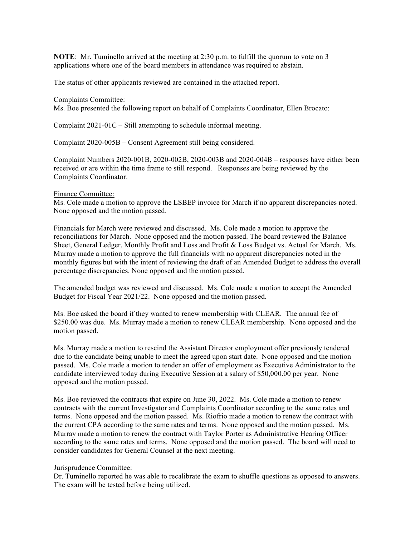**NOTE:** Mr. Tuminello arrived at the meeting at 2:30 p.m. to fulfill the quorum to vote on 3 applications where one of the board members in attendance was required to abstain.

The status of other applicants reviewed are contained in the attached report.

#### Complaints Committee:

Ms. Boe presented the following report on behalf of Complaints Coordinator, Ellen Brocato:

Complaint 2021-01C – Still attempting to schedule informal meeting.

Complaint 2020-005B – Consent Agreement still being considered.

Complaint Numbers 2020-001B, 2020-002B, 2020-003B and 2020-004B – responses have either been received or are within the time frame to still respond. Responses are being reviewed by the Complaints Coordinator.

#### Finance Committee:

Ms. Cole made a motion to approve the LSBEP invoice for March if no apparent discrepancies noted. None opposed and the motion passed.

Financials for March were reviewed and discussed. Ms. Cole made a motion to approve the reconciliations for March. None opposed and the motion passed. The board reviewed the Balance Sheet, General Ledger, Monthly Profit and Loss and Profit & Loss Budget vs. Actual for March. Ms. Murray made a motion to approve the full financials with no apparent discrepancies noted in the monthly figures but with the intent of reviewing the draft of an Amended Budget to address the overall percentage discrepancies. None opposed and the motion passed.

The amended budget was reviewed and discussed. Ms. Cole made a motion to accept the Amended Budget for Fiscal Year 2021/22. None opposed and the motion passed.

Ms. Boe asked the board if they wanted to renew membership with CLEAR. The annual fee of \$250.00 was due. Ms. Murray made a motion to renew CLEAR membership. None opposed and the motion passed.

Ms. Murray made a motion to rescind the Assistant Director employment offer previously tendered due to the candidate being unable to meet the agreed upon start date. None opposed and the motion passed. Ms. Cole made a motion to tender an offer of employment as Executive Administrator to the candidate interviewed today during Executive Session at a salary of \$50,000.00 per year. None opposed and the motion passed.

Ms. Boe reviewed the contracts that expire on June 30, 2022. Ms. Cole made a motion to renew contracts with the current Investigator and Complaints Coordinator according to the same rates and terms. None opposed and the motion passed. Ms. Riofrio made a motion to renew the contract with the current CPA according to the same rates and terms. None opposed and the motion passed. Ms. Murray made a motion to renew the contract with Taylor Porter as Administrative Hearing Officer according to the same rates and terms. None opposed and the motion passed. The board will need to consider candidates for General Counsel at the next meeting.

### Jurisprudence Committee:

Dr. Tuminello reported he was able to recalibrate the exam to shuffle questions as opposed to answers. The exam will be tested before being utilized.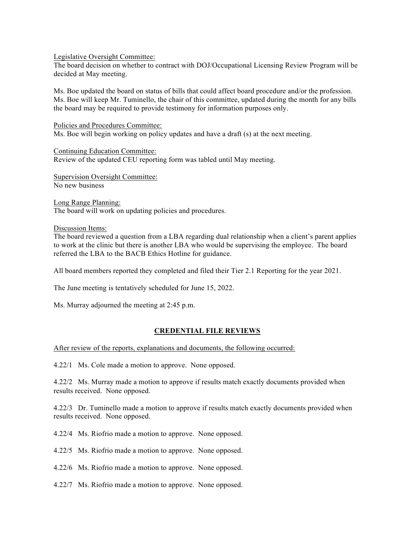Legislative Oversight Committee:

The board decision on whether to contract with DOJ/Occupational Licensing Review Program will be decided at May meeting.

Ms. Boe updated the board on status of bills that could affect board procedure and/or the profession. Ms. Boe will keep Mr. Tuminello, the chair of this committee, updated during the month for any bills the board may be required to provide testimony for information purposes only.

Policies and Procedures Committee: Ms. Boe will begin working on policy updates and have a draft (s) at the next meeting.

Continuing Education Committee: Review of the updated CEU reporting form was tabled until May meeting.

Supervision Oversight Committee: No new business

Long Range Planning: The board will work on updating policies and procedures.

Discussion Items:

The board reviewed a question from a LBA regarding dual relationship when a client's parent applies to work at the clinic but there is another LBA who would be supervising the employee. The board referred the LBA to the BACB Ethics Hotline for guidance.

All board members reported they completed and filed their Tier 2.1 Reporting for the year 2021.

The June meeting is tentatively scheduled for June 15, 2022.

Ms. Murray adjourned the meeting at 2:45 p.m.

## **CREDENTIAL FILE REVIEWS**

After review of the reports, explanations and documents, the following occurred:

4.22/1 Ms. Cole made a motion to approve. None opposed.

4.22/2 Ms. Murray made a motion to approve if results match exactly documents provided when results received. None opposed.

4.22/3 Dr. Tuminello made a motion to approve if results match exactly documents provided when results received. None opposed.

4.22/4 Ms. Riofrio made a motion to approve. None opposed.

4.22/5 Ms. Riofrio made a motion to approve. None opposed.

4.22/6 Ms. Riofrio made a motion to approve. None opposed.

4.22/7 Ms. Riofrio made a motion to approve. None opposed.